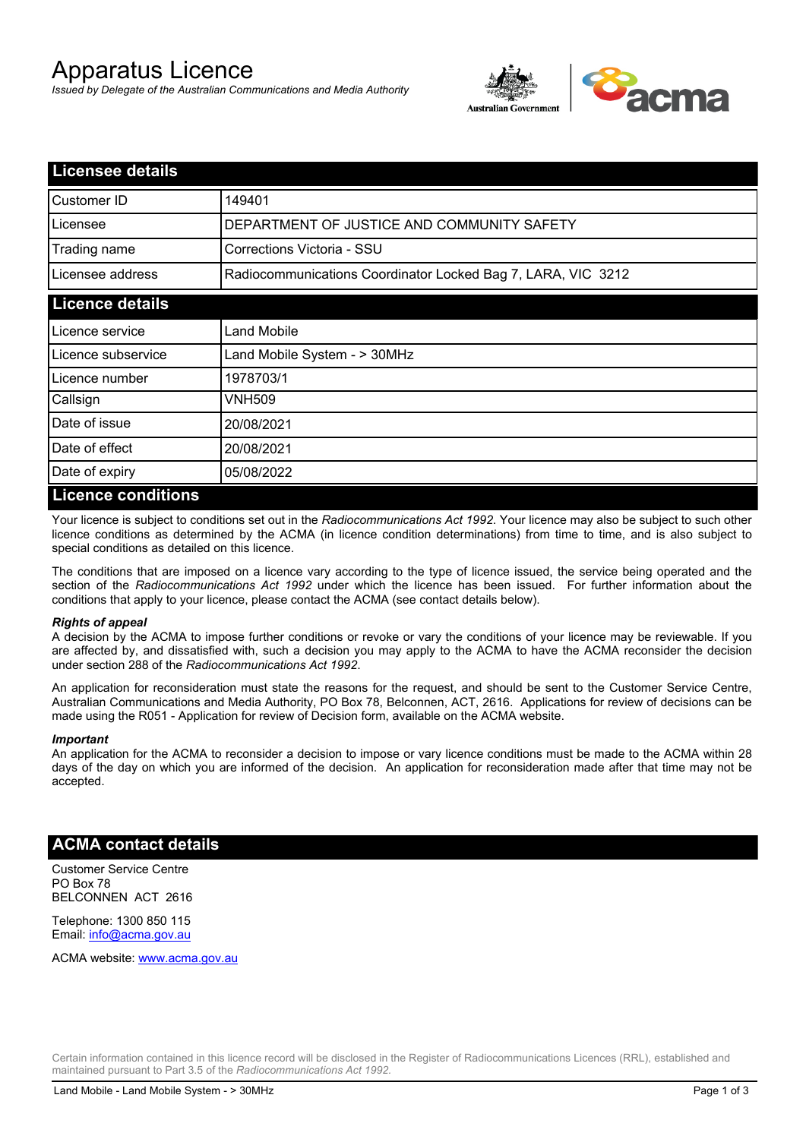# Apparatus Licence

*Issued by Delegate of the Australian Communications and Media Authority*



| <b>Licensee details</b>   |                                                              |
|---------------------------|--------------------------------------------------------------|
| Customer ID               | 149401                                                       |
| Licensee                  | DEPARTMENT OF JUSTICE AND COMMUNITY SAFETY                   |
| Trading name              | Corrections Victoria - SSU                                   |
| Licensee address          | Radiocommunications Coordinator Locked Bag 7, LARA, VIC 3212 |
| <b>Licence details</b>    |                                                              |
| Licence service           | <b>Land Mobile</b>                                           |
| l Licence subservice      | Land Mobile System - > 30MHz                                 |
| Licence number            | 1978703/1                                                    |
| Callsign                  | VNH509                                                       |
| Date of issue             | 20/08/2021                                                   |
| Date of effect            | 20/08/2021                                                   |
| Date of expiry            | 05/08/2022                                                   |
| <b>Licence conditions</b> |                                                              |

Your licence is subject to conditions set out in the *Radiocommunications Act 1992*. Your licence may also be subject to such other licence conditions as determined by the ACMA (in licence condition determinations) from time to time, and is also subject to special conditions as detailed on this licence.

The conditions that are imposed on a licence vary according to the type of licence issued, the service being operated and the section of the *Radiocommunications Act 1992* under which the licence has been issued. For further information about the conditions that apply to your licence, please contact the ACMA (see contact details below).

#### *Rights of appeal*

A decision by the ACMA to impose further conditions or revoke or vary the conditions of your licence may be reviewable. If you are affected by, and dissatisfied with, such a decision you may apply to the ACMA to have the ACMA reconsider the decision under section 288 of the *Radiocommunications Act 1992*.

An application for reconsideration must state the reasons for the request, and should be sent to the Customer Service Centre, Australian Communications and Media Authority, PO Box 78, Belconnen, ACT, 2616. Applications for review of decisions can be made using the R051 - Application for review of Decision form, available on the ACMA website.

#### *Important*

An application for the ACMA to reconsider a decision to impose or vary licence conditions must be made to the ACMA within 28 days of the day on which you are informed of the decision. An application for reconsideration made after that time may not be accepted.

### **ACMA contact details**

Customer Service Centre PO Box 78 BELCONNEN ACT 2616

Telephone: 1300 850 115 Email: info@acma.gov.au

ACMA website: www.acma.gov.au

Certain information contained in this licence record will be disclosed in the Register of Radiocommunications Licences (RRL), established and maintained pursuant to Part 3.5 of the *Radiocommunications Act 1992.*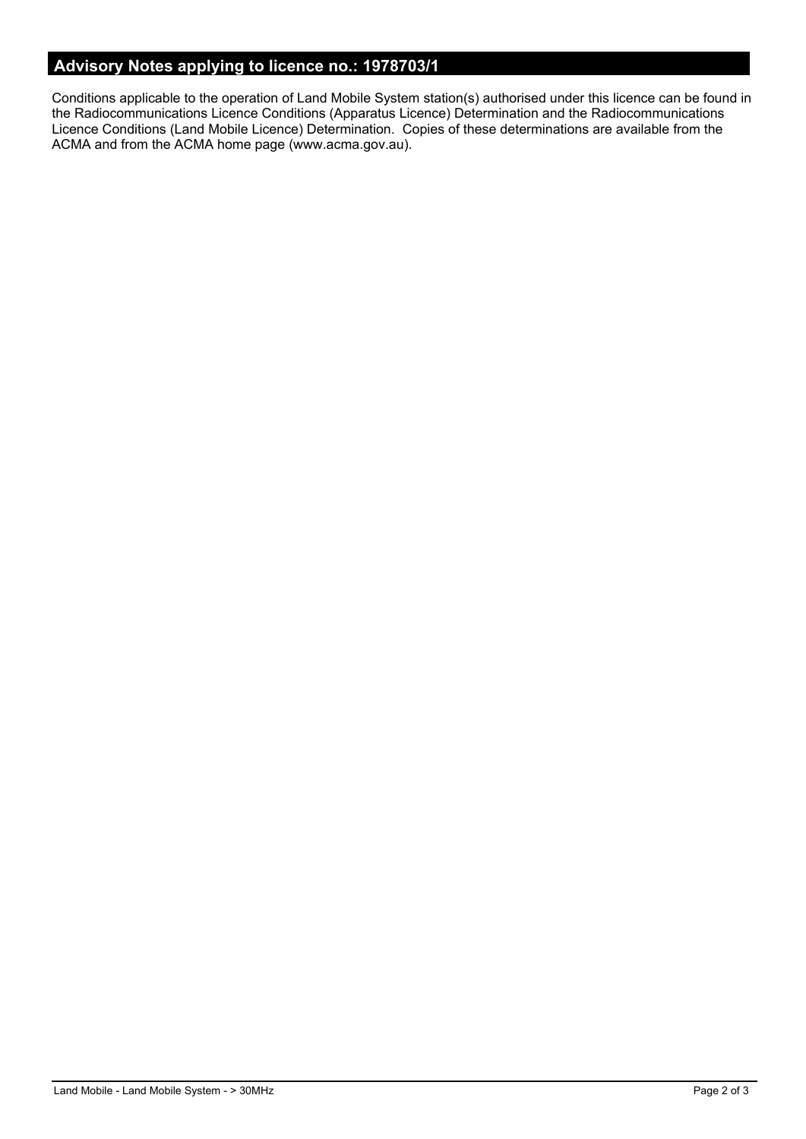## **Advisory Notes applying to licence no.: 1978703/1**

Conditions applicable to the operation of Land Mobile System station(s) authorised under this licence can be found in the Radiocommunications Licence Conditions (Apparatus Licence) Determination and the Radiocommunications Licence Conditions (Land Mobile Licence) Determination. Copies of these determinations are available from the ACMA and from the ACMA home page (www.acma.gov.au).